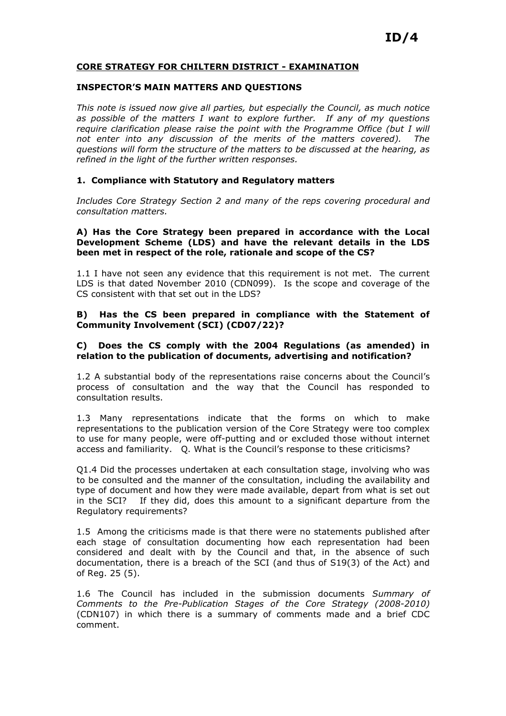#### CORE STRATEGY FOR CHILTERN DISTRICT - EXAMINATION

#### INSPECTOR'S MAIN MATTERS AND QUESTIONS

This note is issued now give all parties, but especially the Council, as much notice as possible of the matters I want to explore further. If any of my questions require clarification please raise the point with the Programme Office (but I will not enter into any discussion of the merits of the matters covered). The questions will form the structure of the matters to be discussed at the hearing, as refined in the light of the further written responses.

#### 1. Compliance with Statutory and Regulatory matters

Includes Core Strategy Section 2 and many of the reps covering procedural and consultation matters.

#### A) Has the Core Strategy been prepared in accordance with the Local Development Scheme (LDS) and have the relevant details in the LDS been met in respect of the role, rationale and scope of the CS?

1.1 I have not seen any evidence that this requirement is not met. The current LDS is that dated November 2010 (CDN099). Is the scope and coverage of the CS consistent with that set out in the LDS?

#### B) Has the CS been prepared in compliance with the Statement of Community Involvement (SCI) (CD07/22)?

#### C) Does the CS comply with the 2004 Regulations (as amended) in relation to the publication of documents, advertising and notification?

1.2 A substantial body of the representations raise concerns about the Council's process of consultation and the way that the Council has responded to consultation results.

1.3 Many representations indicate that the forms on which to make representations to the publication version of the Core Strategy were too complex to use for many people, were off-putting and or excluded those without internet access and familiarity. Q. What is the Council's response to these criticisms?

Q1.4 Did the processes undertaken at each consultation stage, involving who was to be consulted and the manner of the consultation, including the availability and type of document and how they were made available, depart from what is set out in the SCI? If they did, does this amount to a significant departure from the Regulatory requirements?

1.5 Among the criticisms made is that there were no statements published after each stage of consultation documenting how each representation had been considered and dealt with by the Council and that, in the absence of such documentation, there is a breach of the SCI (and thus of S19(3) of the Act) and of Reg. 25 (5).

1.6 The Council has included in the submission documents Summary of Comments to the Pre-Publication Stages of the Core Strategy (2008-2010) (CDN107) in which there is a summary of comments made and a brief CDC comment.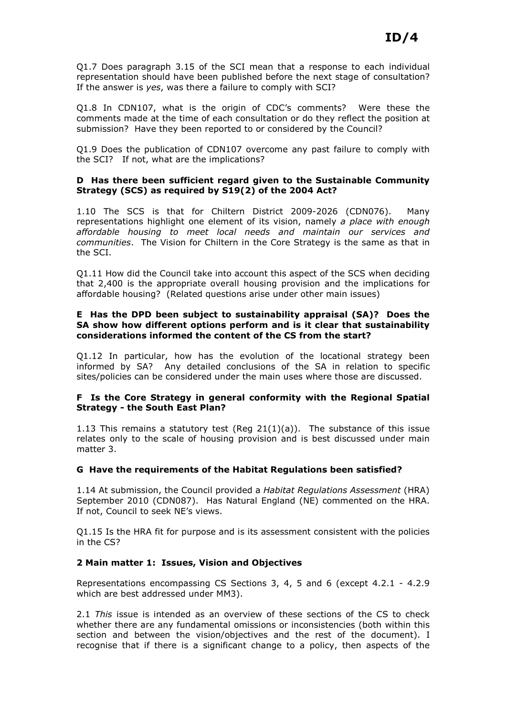Q1.7 Does paragraph 3.15 of the SCI mean that a response to each individual representation should have been published before the next stage of consultation? If the answer is yes, was there a failure to comply with SCI?

Q1.8 In CDN107, what is the origin of CDC's comments? Were these the comments made at the time of each consultation or do they reflect the position at submission? Have they been reported to or considered by the Council?

Q1.9 Does the publication of CDN107 overcome any past failure to comply with the SCI? If not, what are the implications?

#### D Has there been sufficient regard given to the Sustainable Community Strategy (SCS) as required by S19(2) of the 2004 Act?

1.10 The SCS is that for Chiltern District 2009-2026 (CDN076). Many representations highlight one element of its vision, namely a place with enough affordable housing to meet local needs and maintain our services and communities. The Vision for Chiltern in the Core Strategy is the same as that in the SCI.

Q1.11 How did the Council take into account this aspect of the SCS when deciding that 2,400 is the appropriate overall housing provision and the implications for affordable housing? (Related questions arise under other main issues)

## E Has the DPD been subject to sustainability appraisal (SA)? Does the SA show how different options perform and is it clear that sustainability considerations informed the content of the CS from the start?

Q1.12 In particular, how has the evolution of the locational strategy been informed by SA? Any detailed conclusions of the SA in relation to specific sites/policies can be considered under the main uses where those are discussed.

## F Is the Core Strategy in general conformity with the Regional Spatial Strategy - the South East Plan?

1.13 This remains a statutory test (Reg 21(1)(a)). The substance of this issue relates only to the scale of housing provision and is best discussed under main matter 3.

## G Have the requirements of the Habitat Regulations been satisfied?

1.14 At submission, the Council provided a Habitat Regulations Assessment (HRA) September 2010 (CDN087). Has Natural England (NE) commented on the HRA. If not, Council to seek NE's views.

Q1.15 Is the HRA fit for purpose and is its assessment consistent with the policies in the CS?

## 2 Main matter 1: Issues, Vision and Objectives

Representations encompassing CS Sections 3, 4, 5 and 6 (except 4.2.1 - 4.2.9 which are best addressed under MM3).

2.1 This issue is intended as an overview of these sections of the CS to check whether there are any fundamental omissions or inconsistencies (both within this section and between the vision/objectives and the rest of the document). I recognise that if there is a significant change to a policy, then aspects of the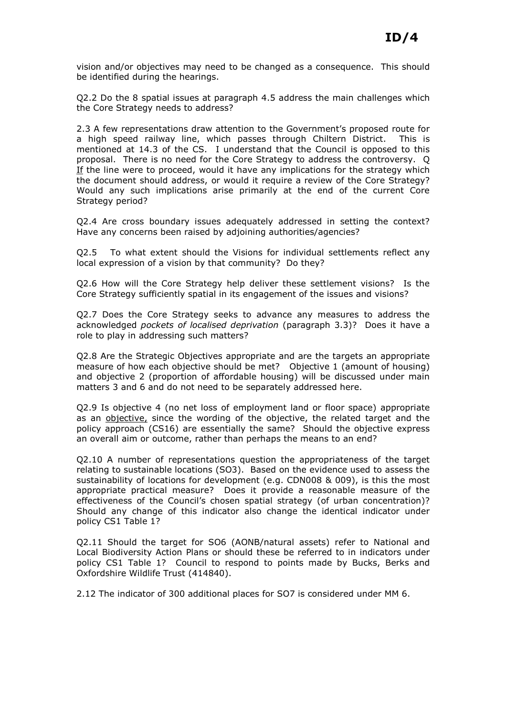vision and/or objectives may need to be changed as a consequence. This should be identified during the hearings.

Q2.2 Do the 8 spatial issues at paragraph 4.5 address the main challenges which the Core Strategy needs to address?

2.3 A few representations draw attention to the Government's proposed route for a high speed railway line, which passes through Chiltern District. This is mentioned at 14.3 of the CS. I understand that the Council is opposed to this proposal. There is no need for the Core Strategy to address the controversy. Q If the line were to proceed, would it have any implications for the strategy which the document should address, or would it require a review of the Core Strategy? Would any such implications arise primarily at the end of the current Core Strategy period?

Q2.4 Are cross boundary issues adequately addressed in setting the context? Have any concerns been raised by adjoining authorities/agencies?

Q2.5 To what extent should the Visions for individual settlements reflect any local expression of a vision by that community? Do they?

Q2.6 How will the Core Strategy help deliver these settlement visions? Is the Core Strategy sufficiently spatial in its engagement of the issues and visions?

Q2.7 Does the Core Strategy seeks to advance any measures to address the acknowledged pockets of localised deprivation (paragraph 3.3)? Does it have a role to play in addressing such matters?

Q2.8 Are the Strategic Objectives appropriate and are the targets an appropriate measure of how each objective should be met? Objective 1 (amount of housing) and objective 2 (proportion of affordable housing) will be discussed under main matters 3 and 6 and do not need to be separately addressed here.

Q2.9 Is objective 4 (no net loss of employment land or floor space) appropriate as an objective, since the wording of the objective, the related target and the policy approach (CS16) are essentially the same? Should the objective express an overall aim or outcome, rather than perhaps the means to an end?

Q2.10 A number of representations question the appropriateness of the target relating to sustainable locations (SO3). Based on the evidence used to assess the sustainability of locations for development (e.g. CDN008 & 009), is this the most appropriate practical measure? Does it provide a reasonable measure of the effectiveness of the Council's chosen spatial strategy (of urban concentration)? Should any change of this indicator also change the identical indicator under policy CS1 Table 1?

Q2.11 Should the target for SO6 (AONB/natural assets) refer to National and Local Biodiversity Action Plans or should these be referred to in indicators under policy CS1 Table 1? Council to respond to points made by Bucks, Berks and Oxfordshire Wildlife Trust (414840).

2.12 The indicator of 300 additional places for SO7 is considered under MM 6.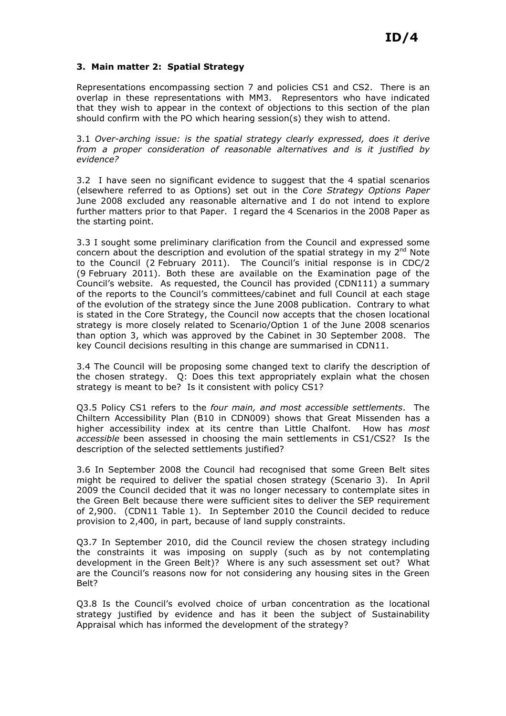# 3. Main matter 2: Spatial Strategy

Representations encompassing section 7 and policies CS1 and CS2. There is an overlap in these representations with MM3. Representors who have indicated that they wish to appear in the context of objections to this section of the plan should confirm with the PO which hearing session(s) they wish to attend.

3.1 Over-arching issue: is the spatial strategy clearly expressed, does it derive from a proper consideration of reasonable alternatives and is it justified by evidence?

3.2 I have seen no significant evidence to suggest that the 4 spatial scenarios (elsewhere referred to as Options) set out in the Core Strategy Options Paper June 2008 excluded any reasonable alternative and I do not intend to explore further matters prior to that Paper. I regard the 4 Scenarios in the 2008 Paper as the starting point.

3.3 I sought some preliminary clarification from the Council and expressed some concern about the description and evolution of the spatial strategy in my  $2^{nd}$  Note to the Council (2 February 2011). The Council's initial response is in CDC/2 (9 February 2011). Both these are available on the Examination page of the Council's website. As requested, the Council has provided (CDN111) a summary of the reports to the Council's committees/cabinet and full Council at each stage of the evolution of the strategy since the June 2008 publication. Contrary to what is stated in the Core Strategy, the Council now accepts that the chosen locational strategy is more closely related to Scenario/Option 1 of the June 2008 scenarios than option 3, which was approved by the Cabinet in 30 September 2008. The key Council decisions resulting in this change are summarised in CDN11.

3.4 The Council will be proposing some changed text to clarify the description of the chosen strategy. Q: Does this text appropriately explain what the chosen strategy is meant to be? Is it consistent with policy CS1?

Q3.5 Policy CS1 refers to the four main, and most accessible settlements. The Chiltern Accessibility Plan (B10 in CDN009) shows that Great Missenden has a higher accessibility index at its centre than Little Chalfont. How has most accessible been assessed in choosing the main settlements in CS1/CS2? Is the description of the selected settlements justified?

3.6 In September 2008 the Council had recognised that some Green Belt sites might be required to deliver the spatial chosen strategy (Scenario 3). In April 2009 the Council decided that it was no longer necessary to contemplate sites in the Green Belt because there were sufficient sites to deliver the SEP requirement of 2,900. (CDN11 Table 1). In September 2010 the Council decided to reduce provision to 2,400, in part, because of land supply constraints.

Q3.7 In September 2010, did the Council review the chosen strategy including the constraints it was imposing on supply (such as by not contemplating development in the Green Belt)? Where is any such assessment set out? What are the Council's reasons now for not considering any housing sites in the Green Belt?

Q3.8 Is the Council's evolved choice of urban concentration as the locational strategy justified by evidence and has it been the subject of Sustainability Appraisal which has informed the development of the strategy?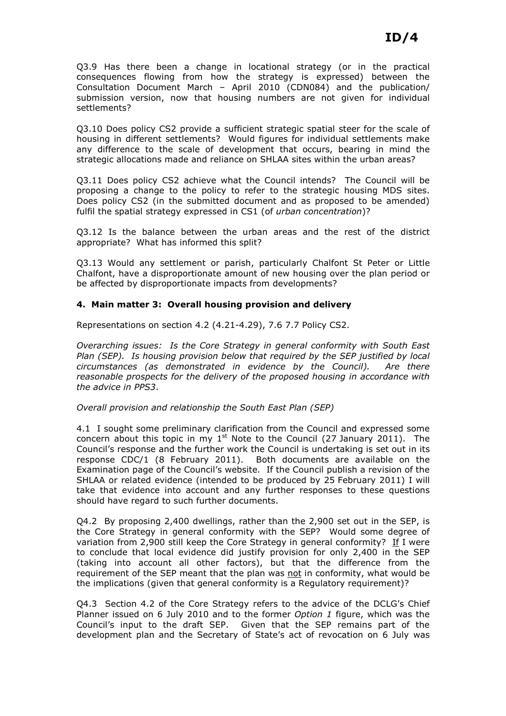Q3.9 Has there been a change in locational strategy (or in the practical consequences flowing from how the strategy is expressed) between the Consultation Document March – April 2010 (CDN084) and the publication/ submission version, now that housing numbers are not given for individual settlements?

Q3.10 Does policy CS2 provide a sufficient strategic spatial steer for the scale of housing in different settlements? Would figures for individual settlements make any difference to the scale of development that occurs, bearing in mind the strategic allocations made and reliance on SHLAA sites within the urban areas?

Q3.11 Does policy CS2 achieve what the Council intends? The Council will be proposing a change to the policy to refer to the strategic housing MDS sites. Does policy CS2 (in the submitted document and as proposed to be amended) fulfil the spatial strategy expressed in CS1 (of *urban concentration*)?

Q3.12 Is the balance between the urban areas and the rest of the district appropriate? What has informed this split?

Q3.13 Would any settlement or parish, particularly Chalfont St Peter or Little Chalfont, have a disproportionate amount of new housing over the plan period or be affected by disproportionate impacts from developments?

# 4. Main matter 3: Overall housing provision and delivery

Representations on section 4.2 (4.21-4.29), 7.6 7.7 Policy CS2.

Overarching issues: Is the Core Strategy in general conformity with South East Plan (SEP). Is housing provision below that required by the SEP justified by local circumstances (as demonstrated in evidence by the Council). Are there reasonable prospects for the delivery of the proposed housing in accordance with the advice in PPS3.

Overall provision and relationship the South East Plan (SEP)

4.1 I sought some preliminary clarification from the Council and expressed some concern about this topic in my  $1<sup>st</sup>$  Note to the Council (27 January 2011). The Council's response and the further work the Council is undertaking is set out in its response CDC/1 (8 February 2011). Both documents are available on the Examination page of the Council's website. If the Council publish a revision of the SHLAA or related evidence (intended to be produced by 25 February 2011) I will take that evidence into account and any further responses to these questions should have regard to such further documents.

Q4.2 By proposing 2,400 dwellings, rather than the 2,900 set out in the SEP, is the Core Strategy in general conformity with the SEP? Would some degree of variation from 2,900 still keep the Core Strategy in general conformity? If I were to conclude that local evidence did justify provision for only 2,400 in the SEP (taking into account all other factors), but that the difference from the requirement of the SEP meant that the plan was not in conformity, what would be the implications (given that general conformity is a Regulatory requirement)?

Q4.3 Section 4.2 of the Core Strategy refers to the advice of the DCLG's Chief Planner issued on 6 July 2010 and to the former Option 1 figure, which was the Council's input to the draft SEP. Given that the SEP remains part of the development plan and the Secretary of State's act of revocation on 6 July was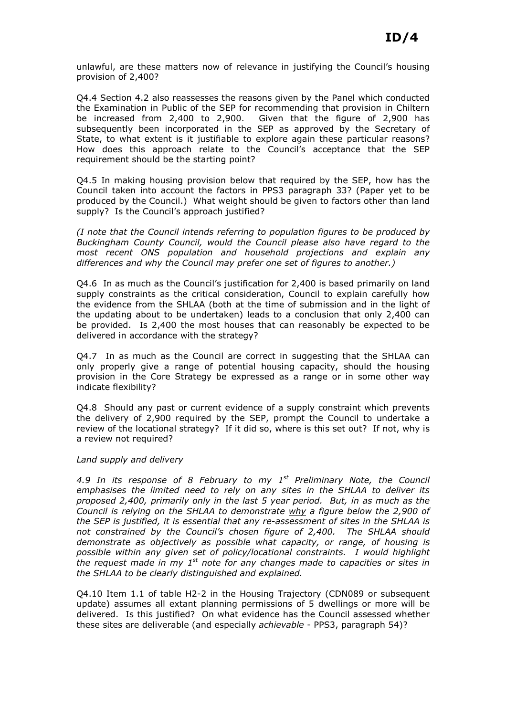unlawful, are these matters now of relevance in justifying the Council's housing provision of 2,400?

Q4.4 Section 4.2 also reassesses the reasons given by the Panel which conducted the Examination in Public of the SEP for recommending that provision in Chiltern<br>be increased from 2.400 to 2.900. Given that the figure of 2.900 has Given that the figure of  $2,900$  has subsequently been incorporated in the SEP as approved by the Secretary of State, to what extent is it justifiable to explore again these particular reasons? How does this approach relate to the Council's acceptance that the SEP requirement should be the starting point?

Q4.5 In making housing provision below that required by the SEP, how has the Council taken into account the factors in PPS3 paragraph 33? (Paper yet to be produced by the Council.) What weight should be given to factors other than land supply? Is the Council's approach justified?

(I note that the Council intends referring to population figures to be produced by Buckingham County Council, would the Council please also have regard to the most recent ONS population and household projections and explain any differences and why the Council may prefer one set of figures to another.)

Q4.6 In as much as the Council's justification for 2,400 is based primarily on land supply constraints as the critical consideration, Council to explain carefully how the evidence from the SHLAA (both at the time of submission and in the light of the updating about to be undertaken) leads to a conclusion that only 2,400 can be provided. Is 2,400 the most houses that can reasonably be expected to be delivered in accordance with the strategy?

Q4.7 In as much as the Council are correct in suggesting that the SHLAA can only properly give a range of potential housing capacity, should the housing provision in the Core Strategy be expressed as a range or in some other way indicate flexibility?

Q4.8 Should any past or current evidence of a supply constraint which prevents the delivery of 2,900 required by the SEP, prompt the Council to undertake a review of the locational strategy? If it did so, where is this set out? If not, why is a review not required?

## Land supply and delivery

4.9 In its response of 8 February to my  $1^{st}$  Preliminary Note, the Council emphasises the limited need to rely on any sites in the SHLAA to deliver its proposed 2,400, primarily only in the last 5 year period. But, in as much as the Council is relying on the SHLAA to demonstrate why a figure below the 2,900 of the SEP is justified, it is essential that any re-assessment of sites in the SHLAA is not constrained by the Council's chosen figure of 2,400. The SHLAA should demonstrate as objectively as possible what capacity, or range, of housing is possible within any given set of policy/locational constraints. I would highlight the request made in my  $1<sup>st</sup>$  note for any changes made to capacities or sites in the SHLAA to be clearly distinguished and explained.

Q4.10 Item 1.1 of table H2-2 in the Housing Trajectory (CDN089 or subsequent update) assumes all extant planning permissions of 5 dwellings or more will be delivered. Is this justified? On what evidence has the Council assessed whether these sites are deliverable (and especially achievable - PPS3, paragraph 54)?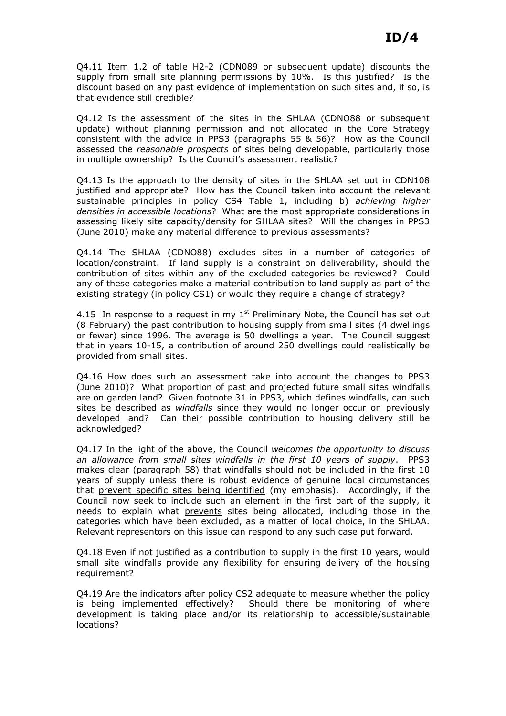Q4.11 Item 1.2 of table H2-2 (CDN089 or subsequent update) discounts the supply from small site planning permissions by 10%. Is this justified? Is the discount based on any past evidence of implementation on such sites and, if so, is that evidence still credible?

Q4.12 Is the assessment of the sites in the SHLAA (CDNO88 or subsequent update) without planning permission and not allocated in the Core Strategy consistent with the advice in PPS3 (paragraphs 55 & 56)? How as the Council assessed the reasonable prospects of sites being developable, particularly those in multiple ownership? Is the Council's assessment realistic?

Q4.13 Is the approach to the density of sites in the SHLAA set out in CDN108 justified and appropriate? How has the Council taken into account the relevant sustainable principles in policy CS4 Table 1, including b) achieving higher densities in accessible locations? What are the most appropriate considerations in assessing likely site capacity/density for SHLAA sites? Will the changes in PPS3 (June 2010) make any material difference to previous assessments?

Q4.14 The SHLAA (CDNO88) excludes sites in a number of categories of location/constraint. If land supply is a constraint on deliverability, should the contribution of sites within any of the excluded categories be reviewed? Could any of these categories make a material contribution to land supply as part of the existing strategy (in policy CS1) or would they require a change of strategy?

4.15 In response to a request in my  $1<sup>st</sup>$  Preliminary Note, the Council has set out (8 February) the past contribution to housing supply from small sites (4 dwellings or fewer) since 1996. The average is 50 dwellings a year. The Council suggest that in years 10-15, a contribution of around 250 dwellings could realistically be provided from small sites.

Q4.16 How does such an assessment take into account the changes to PPS3 (June 2010)? What proportion of past and projected future small sites windfalls are on garden land? Given footnote 31 in PPS3, which defines windfalls, can such sites be described as windfalls since they would no longer occur on previously developed land? Can their possible contribution to housing delivery still be acknowledged?

Q4.17 In the light of the above, the Council welcomes the opportunity to discuss an allowance from small sites windfalls in the first 10 years of supply. PPS3 makes clear (paragraph 58) that windfalls should not be included in the first 10 years of supply unless there is robust evidence of genuine local circumstances that prevent specific sites being identified (my emphasis). Accordingly, if the Council now seek to include such an element in the first part of the supply, it needs to explain what prevents sites being allocated, including those in the categories which have been excluded, as a matter of local choice, in the SHLAA. Relevant representors on this issue can respond to any such case put forward.

Q4.18 Even if not justified as a contribution to supply in the first 10 years, would small site windfalls provide any flexibility for ensuring delivery of the housing requirement?

Q4.19 Are the indicators after policy CS2 adequate to measure whether the policy is being implemented effectively? Should there be monitoring of where development is taking place and/or its relationship to accessible/sustainable locations?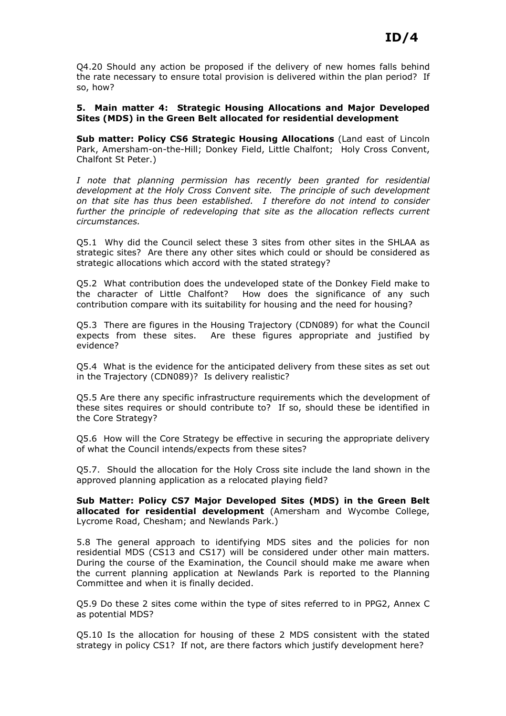Q4.20 Should any action be proposed if the delivery of new homes falls behind the rate necessary to ensure total provision is delivered within the plan period? If so, how?

5. Main matter 4: Strategic Housing Allocations and Major Developed Sites (MDS) in the Green Belt allocated for residential development

Sub matter: Policy CS6 Strategic Housing Allocations (Land east of Lincoln Park, Amersham-on-the-Hill; Donkey Field, Little Chalfont; Holy Cross Convent, Chalfont St Peter.)

I note that planning permission has recently been granted for residential development at the Holy Cross Convent site. The principle of such development on that site has thus been established. I therefore do not intend to consider further the principle of redeveloping that site as the allocation reflects current circumstances.

Q5.1 Why did the Council select these 3 sites from other sites in the SHLAA as strategic sites? Are there any other sites which could or should be considered as strategic allocations which accord with the stated strategy?

Q5.2 What contribution does the undeveloped state of the Donkey Field make to the character of Little Chalfont? How does the significance of any such contribution compare with its suitability for housing and the need for housing?

Q5.3 There are figures in the Housing Trajectory (CDN089) for what the Council expects from these sites. Are these figures appropriate and justified by evidence?

Q5.4 What is the evidence for the anticipated delivery from these sites as set out in the Trajectory (CDN089)? Is delivery realistic?

Q5.5 Are there any specific infrastructure requirements which the development of these sites requires or should contribute to? If so, should these be identified in the Core Strategy?

Q5.6 How will the Core Strategy be effective in securing the appropriate delivery of what the Council intends/expects from these sites?

Q5.7. Should the allocation for the Holy Cross site include the land shown in the approved planning application as a relocated playing field?

Sub Matter: Policy CS7 Major Developed Sites (MDS) in the Green Belt allocated for residential development (Amersham and Wycombe College, Lycrome Road, Chesham; and Newlands Park.)

5.8 The general approach to identifying MDS sites and the policies for non residential MDS (CS13 and CS17) will be considered under other main matters. During the course of the Examination, the Council should make me aware when the current planning application at Newlands Park is reported to the Planning Committee and when it is finally decided.

Q5.9 Do these 2 sites come within the type of sites referred to in PPG2, Annex C as potential MDS?

Q5.10 Is the allocation for housing of these 2 MDS consistent with the stated strategy in policy CS1? If not, are there factors which justify development here?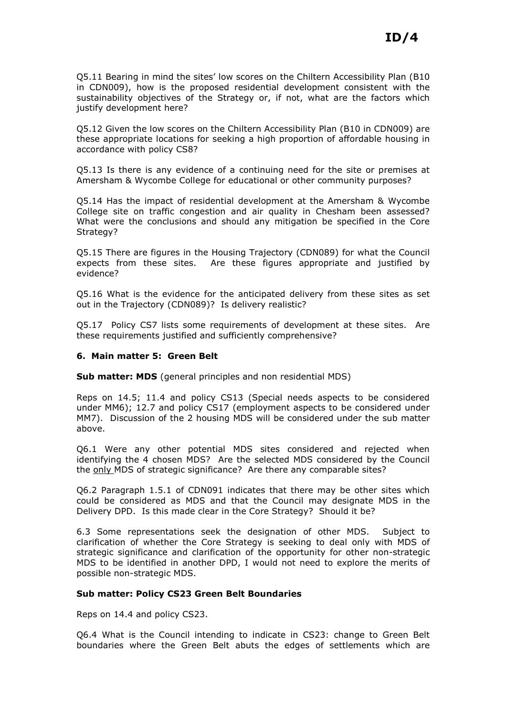Q5.11 Bearing in mind the sites' low scores on the Chiltern Accessibility Plan (B10 in CDN009), how is the proposed residential development consistent with the sustainability objectives of the Strategy or, if not, what are the factors which justify development here?

Q5.12 Given the low scores on the Chiltern Accessibility Plan (B10 in CDN009) are these appropriate locations for seeking a high proportion of affordable housing in accordance with policy CS8?

Q5.13 Is there is any evidence of a continuing need for the site or premises at Amersham & Wycombe College for educational or other community purposes?

Q5.14 Has the impact of residential development at the Amersham & Wycombe College site on traffic congestion and air quality in Chesham been assessed? What were the conclusions and should any mitigation be specified in the Core Strategy?

Q5.15 There are figures in the Housing Trajectory (CDN089) for what the Council expects from these sites. Are these figures appropriate and justified by evidence?

Q5.16 What is the evidence for the anticipated delivery from these sites as set out in the Trajectory (CDN089)? Is delivery realistic?

Q5.17 Policy CS7 lists some requirements of development at these sites. Are these requirements justified and sufficiently comprehensive?

#### 6. Main matter 5: Green Belt

Sub matter: MDS (general principles and non residential MDS)

Reps on 14.5; 11.4 and policy CS13 (Special needs aspects to be considered under MM6); 12.7 and policy CS17 (employment aspects to be considered under MM7). Discussion of the 2 housing MDS will be considered under the sub matter above.

Q6.1 Were any other potential MDS sites considered and rejected when identifying the 4 chosen MDS? Are the selected MDS considered by the Council the only MDS of strategic significance? Are there any comparable sites?

Q6.2 Paragraph 1.5.1 of CDN091 indicates that there may be other sites which could be considered as MDS and that the Council may designate MDS in the Delivery DPD. Is this made clear in the Core Strategy? Should it be?

6.3 Some representations seek the designation of other MDS. Subject to clarification of whether the Core Strategy is seeking to deal only with MDS of strategic significance and clarification of the opportunity for other non-strategic MDS to be identified in another DPD, I would not need to explore the merits of possible non-strategic MDS.

#### Sub matter: Policy CS23 Green Belt Boundaries

Reps on 14.4 and policy CS23.

Q6.4 What is the Council intending to indicate in CS23: change to Green Belt boundaries where the Green Belt abuts the edges of settlements which are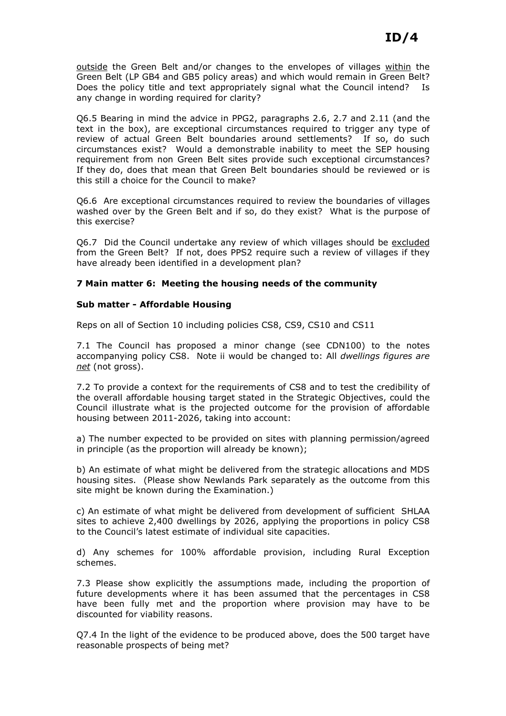outside the Green Belt and/or changes to the envelopes of villages within the Green Belt (LP GB4 and GB5 policy areas) and which would remain in Green Belt? Does the policy title and text appropriately signal what the Council intend? Is any change in wording required for clarity?

Q6.5 Bearing in mind the advice in PPG2, paragraphs 2.6, 2.7 and 2.11 (and the text in the box), are exceptional circumstances required to trigger any type of review of actual Green Belt boundaries around settlements? If so, do such circumstances exist? Would a demonstrable inability to meet the SEP housing requirement from non Green Belt sites provide such exceptional circumstances? If they do, does that mean that Green Belt boundaries should be reviewed or is this still a choice for the Council to make?

Q6.6 Are exceptional circumstances required to review the boundaries of villages washed over by the Green Belt and if so, do they exist? What is the purpose of this exercise?

Q6.7 Did the Council undertake any review of which villages should be excluded from the Green Belt? If not, does PPS2 require such a review of villages if they have already been identified in a development plan?

## 7 Main matter 6: Meeting the housing needs of the community

## Sub matter - Affordable Housing

Reps on all of Section 10 including policies CS8, CS9, CS10 and CS11

7.1 The Council has proposed a minor change (see CDN100) to the notes accompanying policy CS8. Note ii would be changed to: All dwellings figures are net (not gross).

7.2 To provide a context for the requirements of CS8 and to test the credibility of the overall affordable housing target stated in the Strategic Objectives, could the Council illustrate what is the projected outcome for the provision of affordable housing between 2011-2026, taking into account:

a) The number expected to be provided on sites with planning permission/agreed in principle (as the proportion will already be known);

b) An estimate of what might be delivered from the strategic allocations and MDS housing sites. (Please show Newlands Park separately as the outcome from this site might be known during the Examination.)

c) An estimate of what might be delivered from development of sufficient SHLAA sites to achieve 2,400 dwellings by 2026, applying the proportions in policy CS8 to the Council's latest estimate of individual site capacities.

d) Any schemes for 100% affordable provision, including Rural Exception schemes.

7.3 Please show explicitly the assumptions made, including the proportion of future developments where it has been assumed that the percentages in CS8 have been fully met and the proportion where provision may have to be discounted for viability reasons.

Q7.4 In the light of the evidence to be produced above, does the 500 target have reasonable prospects of being met?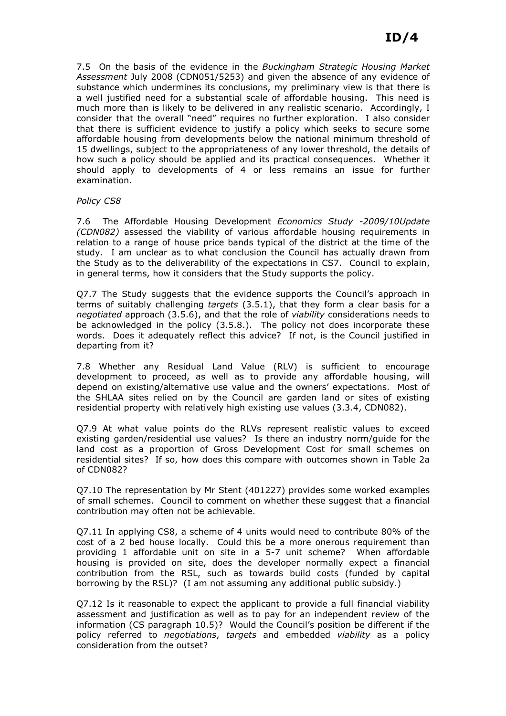7.5 On the basis of the evidence in the Buckingham Strategic Housing Market Assessment July 2008 (CDN051/5253) and given the absence of any evidence of substance which undermines its conclusions, my preliminary view is that there is a well justified need for a substantial scale of affordable housing. This need is much more than is likely to be delivered in any realistic scenario. Accordingly, I consider that the overall "need" requires no further exploration. I also consider that there is sufficient evidence to justify a policy which seeks to secure some affordable housing from developments below the national minimum threshold of 15 dwellings, subject to the appropriateness of any lower threshold, the details of how such a policy should be applied and its practical consequences. Whether it should apply to developments of 4 or less remains an issue for further examination.

## Policy CS8

7.6 The Affordable Housing Development Economics Study -2009/10Update (CDN082) assessed the viability of various affordable housing requirements in relation to a range of house price bands typical of the district at the time of the study. I am unclear as to what conclusion the Council has actually drawn from the Study as to the deliverability of the expectations in CS7. Council to explain, in general terms, how it considers that the Study supports the policy.

Q7.7 The Study suggests that the evidence supports the Council's approach in terms of suitably challenging targets (3.5.1), that they form a clear basis for a negotiated approach (3.5.6), and that the role of viability considerations needs to be acknowledged in the policy (3.5.8.). The policy not does incorporate these words. Does it adequately reflect this advice? If not, is the Council justified in departing from it?

7.8 Whether any Residual Land Value (RLV) is sufficient to encourage development to proceed, as well as to provide any affordable housing, will depend on existing/alternative use value and the owners' expectations. Most of the SHLAA sites relied on by the Council are garden land or sites of existing residential property with relatively high existing use values (3.3.4, CDN082).

Q7.9 At what value points do the RLVs represent realistic values to exceed existing garden/residential use values? Is there an industry norm/guide for the land cost as a proportion of Gross Development Cost for small schemes on residential sites? If so, how does this compare with outcomes shown in Table 2a of CDN082?

Q7.10 The representation by Mr Stent (401227) provides some worked examples of small schemes. Council to comment on whether these suggest that a financial contribution may often not be achievable.

Q7.11 In applying CS8, a scheme of 4 units would need to contribute 80% of the cost of a 2 bed house locally. Could this be a more onerous requirement than providing 1 affordable unit on site in a 5-7 unit scheme? When affordable housing is provided on site, does the developer normally expect a financial contribution from the RSL, such as towards build costs (funded by capital borrowing by the RSL)? (I am not assuming any additional public subsidy.)

Q7.12 Is it reasonable to expect the applicant to provide a full financial viability assessment and justification as well as to pay for an independent review of the information (CS paragraph 10.5)? Would the Council's position be different if the policy referred to negotiations, targets and embedded viability as a policy consideration from the outset?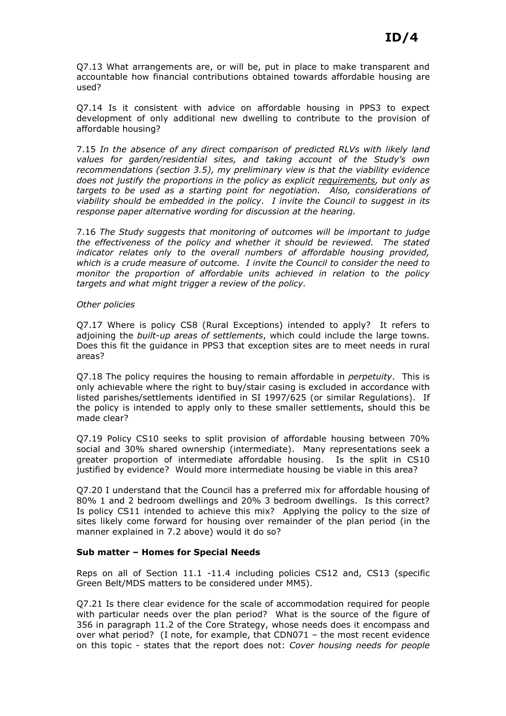Q7.13 What arrangements are, or will be, put in place to make transparent and accountable how financial contributions obtained towards affordable housing are used?

Q7.14 Is it consistent with advice on affordable housing in PPS3 to expect development of only additional new dwelling to contribute to the provision of affordable housing?

7.15 In the absence of any direct comparison of predicted RLVs with likely land values for garden/residential sites, and taking account of the Study's own recommendations (section 3.5), my preliminary view is that the viability evidence does not justify the proportions in the policy as explicit requirements, but only as targets to be used as a starting point for negotiation. Also, considerations of viability should be embedded in the policy. I invite the Council to suggest in its response paper alternative wording for discussion at the hearing.

7.16 The Study suggests that monitoring of outcomes will be important to judge the effectiveness of the policy and whether it should be reviewed. The stated indicator relates only to the overall numbers of affordable housing provided, which is a crude measure of outcome. I invite the Council to consider the need to monitor the proportion of affordable units achieved in relation to the policy targets and what might trigger a review of the policy.

#### Other policies

Q7.17 Where is policy CS8 (Rural Exceptions) intended to apply? It refers to adjoining the built-up areas of settlements, which could include the large towns. Does this fit the guidance in PPS3 that exception sites are to meet needs in rural areas?

Q7.18 The policy requires the housing to remain affordable in *perpetuity*. This is only achievable where the right to buy/stair casing is excluded in accordance with listed parishes/settlements identified in SI 1997/625 (or similar Regulations). If the policy is intended to apply only to these smaller settlements, should this be made clear?

Q7.19 Policy CS10 seeks to split provision of affordable housing between 70% social and 30% shared ownership (intermediate). Many representations seek a greater proportion of intermediate affordable housing. Is the split in CS10 justified by evidence? Would more intermediate housing be viable in this area?

Q7.20 I understand that the Council has a preferred mix for affordable housing of 80% 1 and 2 bedroom dwellings and 20% 3 bedroom dwellings. Is this correct? Is policy CS11 intended to achieve this mix? Applying the policy to the size of sites likely come forward for housing over remainder of the plan period (in the manner explained in 7.2 above) would it do so?

## Sub matter – Homes for Special Needs

Reps on all of Section 11.1 -11.4 including policies CS12 and, CS13 (specific Green Belt/MDS matters to be considered under MM5).

Q7.21 Is there clear evidence for the scale of accommodation required for people with particular needs over the plan period? What is the source of the figure of 356 in paragraph 11.2 of the Core Strategy, whose needs does it encompass and over what period? (I note, for example, that CDN071 – the most recent evidence on this topic - states that the report does not: Cover housing needs for people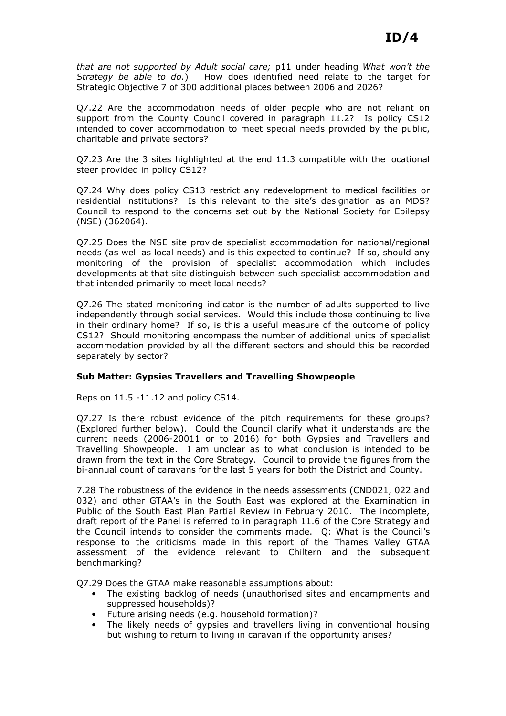that are not supported by Adult social care; p11 under heading What won't the Strategy be able to do.) How does identified need relate to the target for Strategic Objective 7 of 300 additional places between 2006 and 2026?

Q7.22 Are the accommodation needs of older people who are not reliant on support from the County Council covered in paragraph 11.2? Is policy CS12 intended to cover accommodation to meet special needs provided by the public, charitable and private sectors?

Q7.23 Are the 3 sites highlighted at the end 11.3 compatible with the locational steer provided in policy CS12?

Q7.24 Why does policy CS13 restrict any redevelopment to medical facilities or residential institutions? Is this relevant to the site's designation as an MDS? Council to respond to the concerns set out by the National Society for Epilepsy (NSE) (362064).

Q7.25 Does the NSE site provide specialist accommodation for national/regional needs (as well as local needs) and is this expected to continue? If so, should any monitoring of the provision of specialist accommodation which includes developments at that site distinguish between such specialist accommodation and that intended primarily to meet local needs?

Q7.26 The stated monitoring indicator is the number of adults supported to live independently through social services. Would this include those continuing to live in their ordinary home? If so, is this a useful measure of the outcome of policy CS12? Should monitoring encompass the number of additional units of specialist accommodation provided by all the different sectors and should this be recorded separately by sector?

## Sub Matter: Gypsies Travellers and Travelling Showpeople

Reps on 11.5 -11.12 and policy CS14.

Q7.27 Is there robust evidence of the pitch requirements for these groups? (Explored further below). Could the Council clarify what it understands are the current needs (2006-20011 or to 2016) for both Gypsies and Travellers and Travelling Showpeople. I am unclear as to what conclusion is intended to be drawn from the text in the Core Strategy. Council to provide the figures from the bi-annual count of caravans for the last 5 years for both the District and County.

7.28 The robustness of the evidence in the needs assessments (CND021, 022 and 032) and other GTAA's in the South East was explored at the Examination in Public of the South East Plan Partial Review in February 2010. The incomplete, draft report of the Panel is referred to in paragraph 11.6 of the Core Strategy and the Council intends to consider the comments made. Q: What is the Council's response to the criticisms made in this report of the Thames Valley GTAA assessment of the evidence relevant to Chiltern and the subsequent benchmarking?

Q7.29 Does the GTAA make reasonable assumptions about:

- The existing backlog of needs (unauthorised sites and encampments and suppressed households)?
- Future arising needs (e.g. household formation)?
- The likely needs of gypsies and travellers living in conventional housing but wishing to return to living in caravan if the opportunity arises?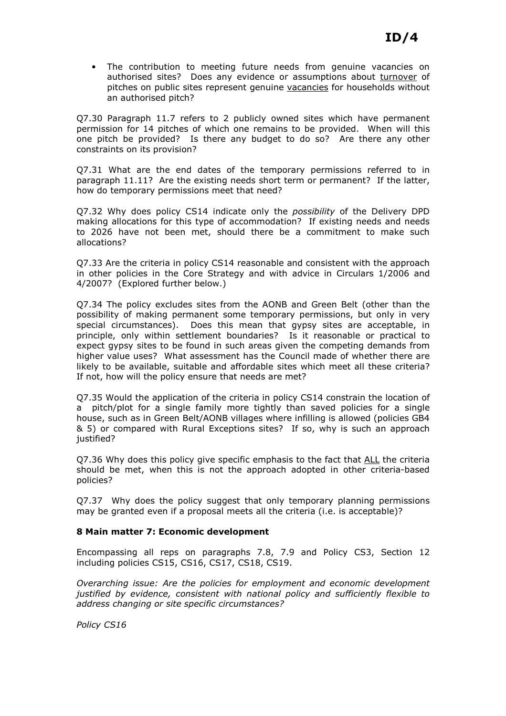• The contribution to meeting future needs from genuine vacancies on authorised sites? Does any evidence or assumptions about turnover of pitches on public sites represent genuine vacancies for households without an authorised pitch?

Q7.30 Paragraph 11.7 refers to 2 publicly owned sites which have permanent permission for 14 pitches of which one remains to be provided. When will this one pitch be provided? Is there any budget to do so? Are there any other constraints on its provision?

Q7.31 What are the end dates of the temporary permissions referred to in paragraph 11.11? Are the existing needs short term or permanent? If the latter, how do temporary permissions meet that need?

Q7.32 Why does policy CS14 indicate only the possibility of the Delivery DPD making allocations for this type of accommodation? If existing needs and needs to 2026 have not been met, should there be a commitment to make such allocations?

Q7.33 Are the criteria in policy CS14 reasonable and consistent with the approach in other policies in the Core Strategy and with advice in Circulars 1/2006 and 4/2007? (Explored further below.)

Q7.34 The policy excludes sites from the AONB and Green Belt (other than the possibility of making permanent some temporary permissions, but only in very special circumstances). Does this mean that gypsy sites are acceptable, in principle, only within settlement boundaries? Is it reasonable or practical to expect gypsy sites to be found in such areas given the competing demands from higher value uses? What assessment has the Council made of whether there are likely to be available, suitable and affordable sites which meet all these criteria? If not, how will the policy ensure that needs are met?

Q7.35 Would the application of the criteria in policy CS14 constrain the location of a pitch/plot for a single family more tightly than saved policies for a single house, such as in Green Belt/AONB villages where infilling is allowed (policies GB4 & 5) or compared with Rural Exceptions sites? If so, why is such an approach justified?

Q7.36 Why does this policy give specific emphasis to the fact that ALL the criteria should be met, when this is not the approach adopted in other criteria-based policies?

Q7.37 Why does the policy suggest that only temporary planning permissions may be granted even if a proposal meets all the criteria (i.e. is acceptable)?

## 8 Main matter 7: Economic development

Encompassing all reps on paragraphs 7.8, 7.9 and Policy CS3, Section 12 including policies CS15, CS16, CS17, CS18, CS19.

Overarching issue: Are the policies for employment and economic development justified by evidence, consistent with national policy and sufficiently flexible to address changing or site specific circumstances?

Policy CS16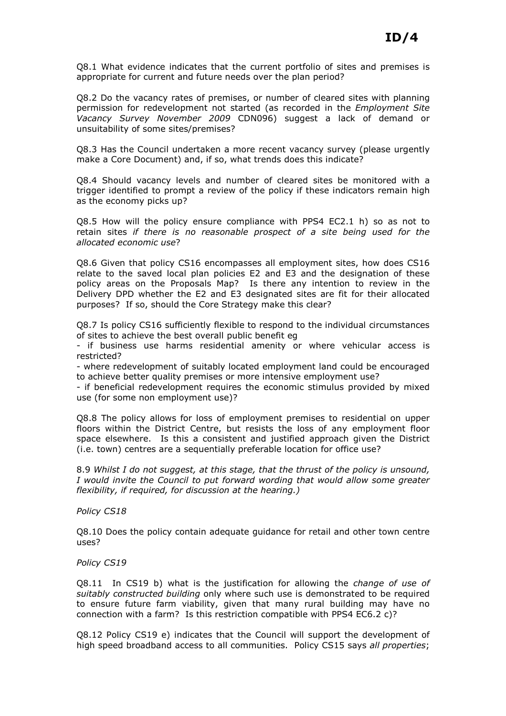Q8.1 What evidence indicates that the current portfolio of sites and premises is appropriate for current and future needs over the plan period?

Q8.2 Do the vacancy rates of premises, or number of cleared sites with planning permission for redevelopment not started (as recorded in the Employment Site Vacancy Survey November 2009 CDN096) suggest a lack of demand or unsuitability of some sites/premises?

Q8.3 Has the Council undertaken a more recent vacancy survey (please urgently make a Core Document) and, if so, what trends does this indicate?

Q8.4 Should vacancy levels and number of cleared sites be monitored with a trigger identified to prompt a review of the policy if these indicators remain high as the economy picks up?

Q8.5 How will the policy ensure compliance with PPS4 EC2.1 h) so as not to retain sites if there is no reasonable prospect of a site being used for the allocated economic use?

Q8.6 Given that policy CS16 encompasses all employment sites, how does CS16 relate to the saved local plan policies E2 and E3 and the designation of these policy areas on the Proposals Map? Is there any intention to review in the Delivery DPD whether the E2 and E3 designated sites are fit for their allocated purposes? If so, should the Core Strategy make this clear?

Q8.7 Is policy CS16 sufficiently flexible to respond to the individual circumstances of sites to achieve the best overall public benefit eg

- if business use harms residential amenity or where vehicular access is restricted?

- where redevelopment of suitably located employment land could be encouraged to achieve better quality premises or more intensive employment use?

- if beneficial redevelopment requires the economic stimulus provided by mixed use (for some non employment use)?

Q8.8 The policy allows for loss of employment premises to residential on upper floors within the District Centre, but resists the loss of any employment floor space elsewhere. Is this a consistent and justified approach given the District (i.e. town) centres are a sequentially preferable location for office use?

8.9 Whilst I do not suggest, at this stage, that the thrust of the policy is unsound, I would invite the Council to put forward wording that would allow some greater flexibility, if required, for discussion at the hearing.)

Policy CS18

Q8.10 Does the policy contain adequate guidance for retail and other town centre uses?

Policy CS19

 $Q8.11$  In CS19 b) what is the justification for allowing the *change of use of* suitably constructed building only where such use is demonstrated to be required to ensure future farm viability, given that many rural building may have no connection with a farm? Is this restriction compatible with PPS4 EC6.2 c)?

Q8.12 Policy CS19 e) indicates that the Council will support the development of high speed broadband access to all communities. Policy CS15 says all properties;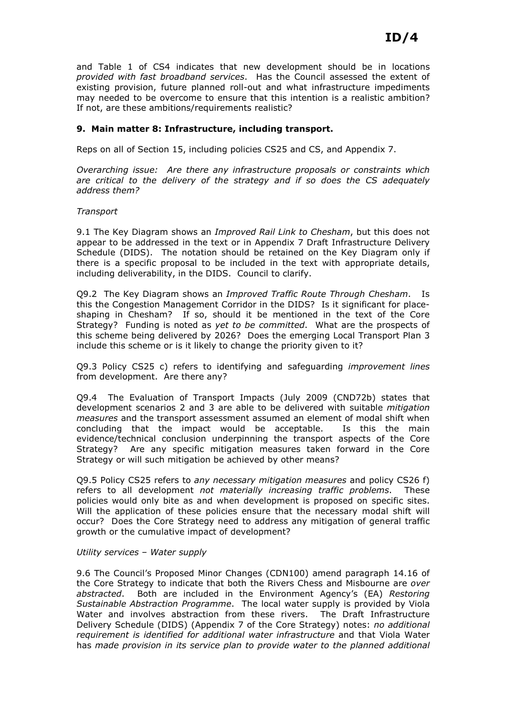and Table 1 of CS4 indicates that new development should be in locations provided with fast broadband services. Has the Council assessed the extent of existing provision, future planned roll-out and what infrastructure impediments may needed to be overcome to ensure that this intention is a realistic ambition? If not, are these ambitions/requirements realistic?

# 9. Main matter 8: Infrastructure, including transport.

Reps on all of Section 15, including policies CS25 and CS, and Appendix 7.

Overarching issue: Are there any infrastructure proposals or constraints which are critical to the delivery of the strategy and if so does the CS adequately address them?

#### **Transport**

9.1 The Key Diagram shows an Improved Rail Link to Chesham, but this does not appear to be addressed in the text or in Appendix 7 Draft Infrastructure Delivery Schedule (DIDS). The notation should be retained on the Key Diagram only if there is a specific proposal to be included in the text with appropriate details, including deliverability, in the DIDS. Council to clarify.

Q9.2 The Key Diagram shows an Improved Traffic Route Through Chesham. Is this the Congestion Management Corridor in the DIDS? Is it significant for placeshaping in Chesham? If so, should it be mentioned in the text of the Core Strategy? Funding is noted as yet to be committed. What are the prospects of this scheme being delivered by 2026? Does the emerging Local Transport Plan 3 include this scheme or is it likely to change the priority given to it?

Q9.3 Policy CS25 c) refers to identifying and safeguarding improvement lines from development. Are there any?

Q9.4 The Evaluation of Transport Impacts (July 2009 (CND72b) states that development scenarios 2 and 3 are able to be delivered with suitable mitigation measures and the transport assessment assumed an element of modal shift when concluding that the impact would be acceptable. Is this the main evidence/technical conclusion underpinning the transport aspects of the Core Strategy? Are any specific mitigation measures taken forward in the Core Strategy or will such mitigation be achieved by other means?

Q9.5 Policy CS25 refers to any necessary mitigation measures and policy CS26 f) refers to all development not materially increasing traffic problems. These policies would only bite as and when development is proposed on specific sites. Will the application of these policies ensure that the necessary modal shift will occur? Does the Core Strategy need to address any mitigation of general traffic growth or the cumulative impact of development?

#### Utility services – Water supply

9.6 The Council's Proposed Minor Changes (CDN100) amend paragraph 14.16 of the Core Strategy to indicate that both the Rivers Chess and Misbourne are over abstracted. Both are included in the Environment Agency's (EA) Restoring Sustainable Abstraction Programme. The local water supply is provided by Viola Water and involves abstraction from these rivers. The Draft Infrastructure Delivery Schedule (DIDS) (Appendix 7 of the Core Strategy) notes: no additional requirement is identified for additional water infrastructure and that Viola Water has made provision in its service plan to provide water to the planned additional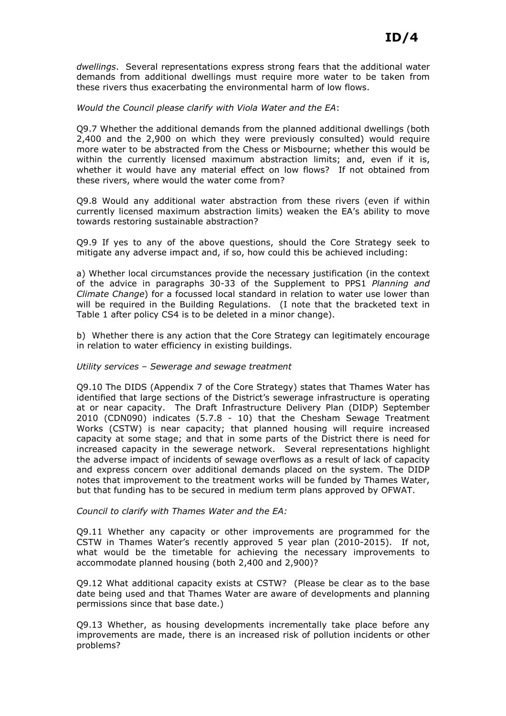dwellings. Several representations express strong fears that the additional water demands from additional dwellings must require more water to be taken from these rivers thus exacerbating the environmental harm of low flows.

#### Would the Council please clarify with Viola Water and the EA:

Q9.7 Whether the additional demands from the planned additional dwellings (both 2,400 and the 2,900 on which they were previously consulted) would require more water to be abstracted from the Chess or Misbourne; whether this would be within the currently licensed maximum abstraction limits; and, even if it is, whether it would have any material effect on low flows? If not obtained from these rivers, where would the water come from?

Q9.8 Would any additional water abstraction from these rivers (even if within currently licensed maximum abstraction limits) weaken the EA's ability to move towards restoring sustainable abstraction?

Q9.9 If yes to any of the above questions, should the Core Strategy seek to mitigate any adverse impact and, if so, how could this be achieved including:

a) Whether local circumstances provide the necessary justification (in the context of the advice in paragraphs 30-33 of the Supplement to PPS1 Planning and Climate Change) for a focussed local standard in relation to water use lower than will be required in the Building Regulations. (I note that the bracketed text in Table 1 after policy CS4 is to be deleted in a minor change).

b) Whether there is any action that the Core Strategy can legitimately encourage in relation to water efficiency in existing buildings.

#### Utility services – Sewerage and sewage treatment

Q9.10 The DIDS (Appendix 7 of the Core Strategy) states that Thames Water has identified that large sections of the District's sewerage infrastructure is operating at or near capacity. The Draft Infrastructure Delivery Plan (DIDP) September 2010 (CDN090) indicates (5.7.8 - 10) that the Chesham Sewage Treatment Works (CSTW) is near capacity; that planned housing will require increased capacity at some stage; and that in some parts of the District there is need for increased capacity in the sewerage network. Several representations highlight the adverse impact of incidents of sewage overflows as a result of lack of capacity and express concern over additional demands placed on the system. The DIDP notes that improvement to the treatment works will be funded by Thames Water, but that funding has to be secured in medium term plans approved by OFWAT.

#### Council to clarify with Thames Water and the EA:

Q9.11 Whether any capacity or other improvements are programmed for the CSTW in Thames Water's recently approved 5 year plan (2010-2015). If not, what would be the timetable for achieving the necessary improvements to accommodate planned housing (both 2,400 and 2,900)?

Q9.12 What additional capacity exists at CSTW? (Please be clear as to the base date being used and that Thames Water are aware of developments and planning permissions since that base date.)

Q9.13 Whether, as housing developments incrementally take place before any improvements are made, there is an increased risk of pollution incidents or other problems?